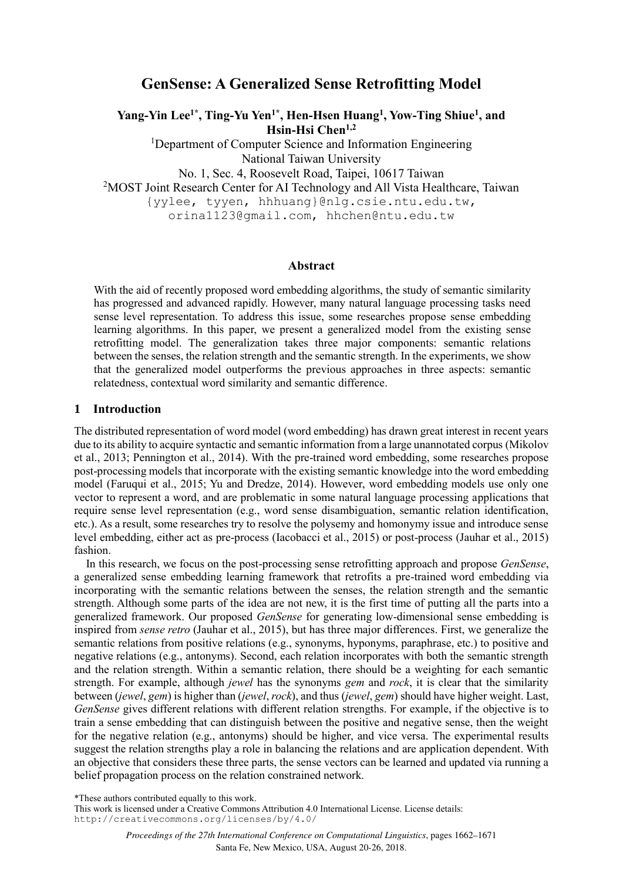# **GenSense: A Generalized Sense Retrofitting Model**

**Yang-Yin Lee1\*, Ting-Yu Yen1\*, Hen-Hsen Huang<sup>1</sup> , Yow-Ting Shiue<sup>1</sup> , and Hsin-Hsi Chen1,2**

<sup>1</sup>Department of Computer Science and Information Engineering National Taiwan University

No. 1, Sec. 4, Roosevelt Road, Taipei, 10617 Taiwan

<sup>2</sup>MOST Joint Research Center for AI Technology and All Vista Healthcare, Taiwan

{yylee, tyyen, hhhuang}@nlg.csie.ntu.edu.tw,

orina1123@gmail.com, hhchen@ntu.edu.tw

### **Abstract**

With the aid of recently proposed word embedding algorithms, the study of semantic similarity has progressed and advanced rapidly. However, many natural language processing tasks need sense level representation. To address this issue, some researches propose sense embedding learning algorithms. In this paper, we present a generalized model from the existing sense retrofitting model. The generalization takes three major components: semantic relations between the senses, the relation strength and the semantic strength. In the experiments, we show that the generalized model outperforms the previous approaches in three aspects: semantic relatedness, contextual word similarity and semantic difference.

## **1 Introduction**

The distributed representation of word model (word embedding) has drawn great interest in recent years due to its ability to acquire syntactic and semantic information from a large unannotated corpus (Mikolov et al., 2013; Pennington et al., 2014). With the pre-trained word embedding, some researches propose post-processing models that incorporate with the existing semantic knowledge into the word embedding model (Faruqui et al., 2015; Yu and Dredze, 2014). However, word embedding models use only one vector to represent a word, and are problematic in some natural language processing applications that require sense level representation (e.g., word sense disambiguation, semantic relation identification, etc.). As a result, some researches try to resolve the polysemy and homonymy issue and introduce sense level embedding, either act as pre-process (Iacobacci et al., 2015) or post-process (Jauhar et al., 2015) fashion.

In this research, we focus on the post-processing sense retrofitting approach and propose *GenSense*, a generalized sense embedding learning framework that retrofits a pre-trained word embedding via incorporating with the semantic relations between the senses, the relation strength and the semantic strength. Although some parts of the idea are not new, it is the first time of putting all the parts into a generalized framework. Our proposed *GenSense* for generating low-dimensional sense embedding is inspired from *sense retro* (Jauhar et al., 2015), but has three major differences. First, we generalize the semantic relations from positive relations (e.g., synonyms, hyponyms, paraphrase, etc.) to positive and negative relations (e.g., antonyms). Second, each relation incorporates with both the semantic strength and the relation strength. Within a semantic relation, there should be a weighting for each semantic strength. For example, although *jewel* has the synonyms *gem* and *rock*, it is clear that the similarity between (*jewel*, *gem*) is higher than (*jewel*, *rock*), and thus (*jewel*, *gem*) should have higher weight. Last, *GenSense* gives different relations with different relation strengths. For example, if the objective is to train a sense embedding that can distinguish between the positive and negative sense, then the weight for the negative relation (e.g., antonyms) should be higher, and vice versa. The experimental results suggest the relation strengths play a role in balancing the relations and are application dependent. With an objective that considers these three parts, the sense vectors can be learned and updated via running a belief propagation process on the relation constrained network.

\*These authors contributed equally to this work.

1662 <http://creativecommons.org/licenses/by/4.0/>This work is licensed under a Creative Commons Attribution 4.0 International License. License details: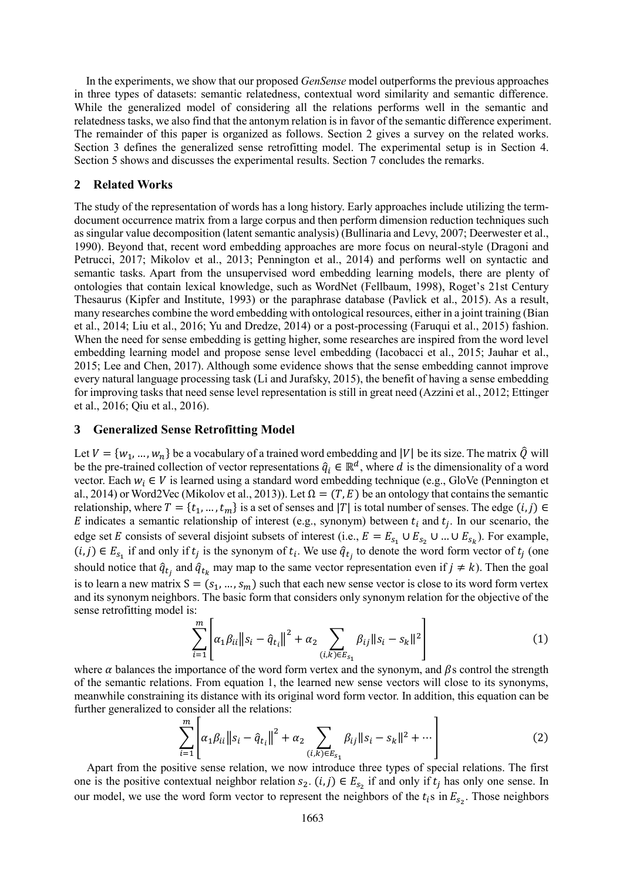In the experiments, we show that our proposed *GenSense* model outperforms the previous approaches in three types of datasets: semantic relatedness, contextual word similarity and semantic difference. While the generalized model of considering all the relations performs well in the semantic and relatedness tasks, we also find that the antonym relation is in favor of the semantic difference experiment. The remainder of this paper is organized as follows. Section 2 gives a survey on the related works. Section 3 defines the generalized sense retrofitting model. The experimental setup is in Section 4. Section 5 shows and discusses the experimental results. Section 7 concludes the remarks.

#### **2 Related Works**

The study of the representation of words has a long history. Early approaches include utilizing the termdocument occurrence matrix from a large corpus and then perform dimension reduction techniques such as singular value decomposition (latent semantic analysis) (Bullinaria and Levy, 2007; Deerwester et al., 1990). Beyond that, recent word embedding approaches are more focus on neural-style (Dragoni and Petrucci, 2017; Mikolov et al., 2013; Pennington et al., 2014) and performs well on syntactic and semantic tasks. Apart from the unsupervised word embedding learning models, there are plenty of ontologies that contain lexical knowledge, such as WordNet (Fellbaum, 1998), Roget's 21st Century Thesaurus (Kipfer and Institute, 1993) or the paraphrase database (Pavlick et al., 2015). As a result, many researches combine the word embedding with ontological resources, either in a joint training (Bian et al., 2014; Liu et al., 2016; Yu and Dredze, 2014) or a post-processing (Faruqui et al., 2015) fashion. When the need for sense embedding is getting higher, some researches are inspired from the word level embedding learning model and propose sense level embedding (Iacobacci et al., 2015; Jauhar et al., 2015; Lee and Chen, 2017). Although some evidence shows that the sense embedding cannot improve every natural language processing task (Li and Jurafsky, 2015), the benefit of having a sense embedding for improving tasks that need sense level representation is still in great need (Azzini et al., 2012; Ettinger et al., 2016; Qiu et al., 2016).

#### **3 Generalized Sense Retrofitting Model**

Let  $V = \{w_1, ..., w_n\}$  be a vocabulary of a trained word embedding and |V| be its size. The matrix  $\hat{Q}$  will be the pre-trained collection of vector representations  $\hat{q}_i \in \mathbb{R}^d$ , where d is the dimensionality of a word vector. Each  $w_i \in V$  is learned using a standard word embedding technique (e.g., GloVe (Pennington et al., 2014) or Word2Vec (Mikolov et al., 2013)). Let  $\Omega = (T, E)$  be an ontology that contains the semantic relationship, where  $T = \{t_1, ..., t_m\}$  is a set of senses and  $|T|$  is total number of senses. The edge  $(i, j) \in$ E indicates a semantic relationship of interest (e.g., synonym) between  $t_i$  and  $t_j$ . In our scenario, the edge set E consists of several disjoint subsets of interest (i.e.,  $E = E_{s_1} \cup E_{s_2} \cup ... \cup E_{s_k}$ ). For example,  $(i, j) \in E_{s_1}$  if and only if  $t_j$  is the synonym of  $t_i$ . We use  $\hat{q}_{t_j}$  to denote the word form vector of  $t_j$  (one should notice that  $\hat{q}_{t_j}$  and  $\hat{q}_{t_k}$  may map to the same vector representation even if  $j \neq k$ ). Then the goal is to learn a new matrix  $S = (s_1, ..., s_m)$  such that each new sense vector is close to its word form vertex and its synonym neighbors. The basic form that considers only synonym relation for the objective of the sense retrofitting model is:

$$
\sum_{i=1}^{m} \left| \alpha_1 \beta_{ii} ||s_i - \hat{q}_{t_i}||^2 + \alpha_2 \sum_{(i,k) \in E_{s_1}} \beta_{ij} ||s_i - s_k||^2 \right| \tag{1}
$$

where  $\alpha$  balances the importance of the word form vertex and the synonym, and  $\beta$ s control the strength of the semantic relations. From equation 1, the learned new sense vectors will close to its synonyms, meanwhile constraining its distance with its original word form vector. In addition, this equation can be further generalized to consider all the relations:

$$
\sum_{i=1}^{m} \left| \alpha_1 \beta_{ii} ||s_i - \hat{q}_{t_i}||^2 + \alpha_2 \sum_{(i,k) \in E_{s_1}} \beta_{ij} ||s_i - s_k||^2 + \cdots \right| \tag{2}
$$

Apart from the positive sense relation, we now introduce three types of special relations. The first one is the positive contextual neighbor relation  $s_2$ .  $(i, j) \in E_{s_2}$  if and only if  $t_j$  has only one sense. In our model, we use the word form vector to represent the neighbors of the  $t_i$ s in  $E_{s_2}$ . Those neighbors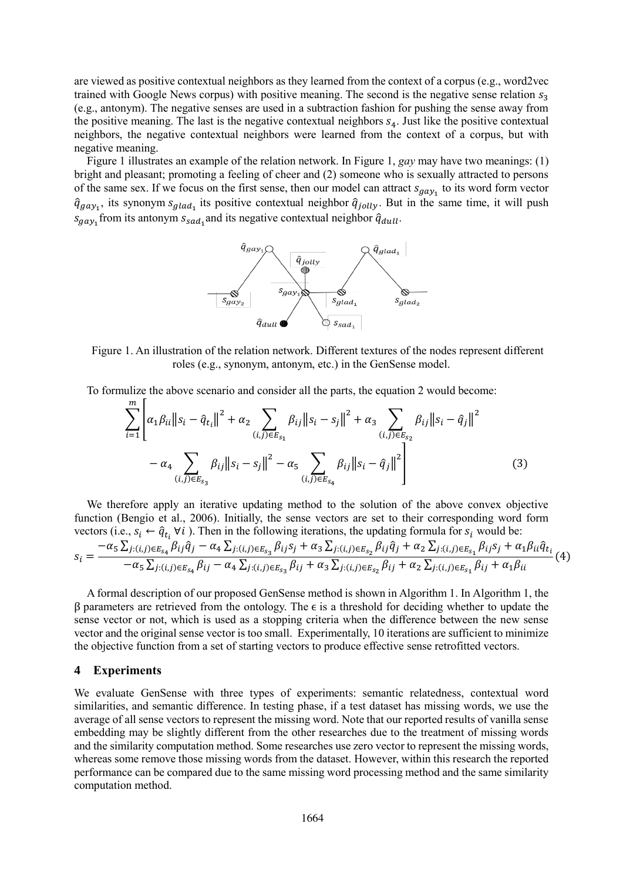are viewed as positive contextual neighbors as they learned from the context of a corpus (e.g., word2vec trained with Google News corpus) with positive meaning. The second is the negative sense relation  $s_3$ (e.g., antonym). The negative senses are used in a subtraction fashion for pushing the sense away from the positive meaning. The last is the negative contextual neighbors  $s_4$ . Just like the positive contextual neighbors, the negative contextual neighbors were learned from the context of a corpus, but with negative meaning.

Figure 1 illustrates an example of the relation network. In Figure 1, *gay* may have two meanings: (1) bright and pleasant; promoting a feeling of cheer and (2) someone who is sexually attracted to persons of the same sex. If we focus on the first sense, then our model can attract  $s_{\text{gay}_1}$  to its word form vector  $\hat{q}_{gay_1}$ , its synonym  $s_{glad_1}$  its positive contextual neighbor  $\hat{q}_{jolly}$ . But in the same time, it will push  $s_{\textit{gay}_1}$  from its antonym  $s_{\textit{sad}_1}$  and its negative contextual neighbor  $\hat{q}_{dull}$ .



Figure 1. An illustration of the relation network. Different textures of the nodes represent different roles (e.g., synonym, antonym, etc.) in the GenSense model.

To formulize the above scenario and consider all the parts, the equation 2 would become:

$$
\sum_{i=1}^{m} \left| \alpha_{1} \beta_{ii} \| s_{i} - \hat{q}_{t_{i}} \|^{2} + \alpha_{2} \sum_{(i,j) \in E_{S_{1}}} \beta_{ij} \| s_{i} - s_{j} \|^{2} + \alpha_{3} \sum_{(i,j) \in E_{S_{2}}} \beta_{ij} \| s_{i} - \hat{q}_{j} \|^{2} - \alpha_{4} \sum_{(i,j) \in E_{S_{3}}} \beta_{ij} \| s_{i} - s_{j} \|^{2} - \alpha_{5} \sum_{(i,j) \in E_{S_{4}}} \beta_{ij} \| s_{i} - \hat{q}_{j} \|^{2} \right|
$$
(3)

We therefore apply an iterative updating method to the solution of the above convex objective function (Bengio et al., 2006). Initially, the sense vectors are set to their corresponding word form vectors (i.e.,  $s_i \leftarrow \hat{q}_{t_i}$   $\forall i$ ). Then in the following iterations, the updating formula for  $s_i$  would be:

$$
s_{i} = \frac{-\alpha_{5} \sum_{j:(i,j)\in E_{s_{4}}} \beta_{ij} \hat{q}_{j} - \alpha_{4} \sum_{j:(i,j)\in E_{s_{3}}} \beta_{ij} s_{j} + \alpha_{3} \sum_{j:(i,j)\in E_{s_{2}}} \beta_{ij} \hat{q}_{j} + \alpha_{2} \sum_{j:(i,j)\in E_{s_{1}}} \beta_{ij} s_{j} + \alpha_{1} \beta_{ii} \hat{q}_{t_{i}}}{-\alpha_{5} \sum_{j:(i,j)\in E_{s_{4}}} \beta_{ij} - \alpha_{4} \sum_{j:(i,j)\in E_{s_{3}}} \beta_{ij} + \alpha_{3} \sum_{j:(i,j)\in E_{s_{2}}} \beta_{ij} + \alpha_{2} \sum_{j:(i,j)\in E_{s_{1}}} \beta_{ij} + \alpha_{1} \beta_{ii}}(4)
$$

A formal description of our proposed GenSense method is shown in Algorithm 1. In Algorithm 1, the  $β$  parameters are retrieved from the ontology. The  $ε$  is a threshold for deciding whether to update the sense vector or not, which is used as a stopping criteria when the difference between the new sense vector and the original sense vector is too small. Experimentally, 10 iterations are sufficient to minimize the objective function from a set of starting vectors to produce effective sense retrofitted vectors.

#### **4 Experiments**

We evaluate GenSense with three types of experiments: semantic relatedness, contextual word similarities, and semantic difference. In testing phase, if a test dataset has missing words, we use the average of all sense vectors to represent the missing word. Note that our reported results of vanilla sense embedding may be slightly different from the other researches due to the treatment of missing words and the similarity computation method. Some researches use zero vector to represent the missing words, whereas some remove those missing words from the dataset. However, within this research the reported performance can be compared due to the same missing word processing method and the same similarity computation method.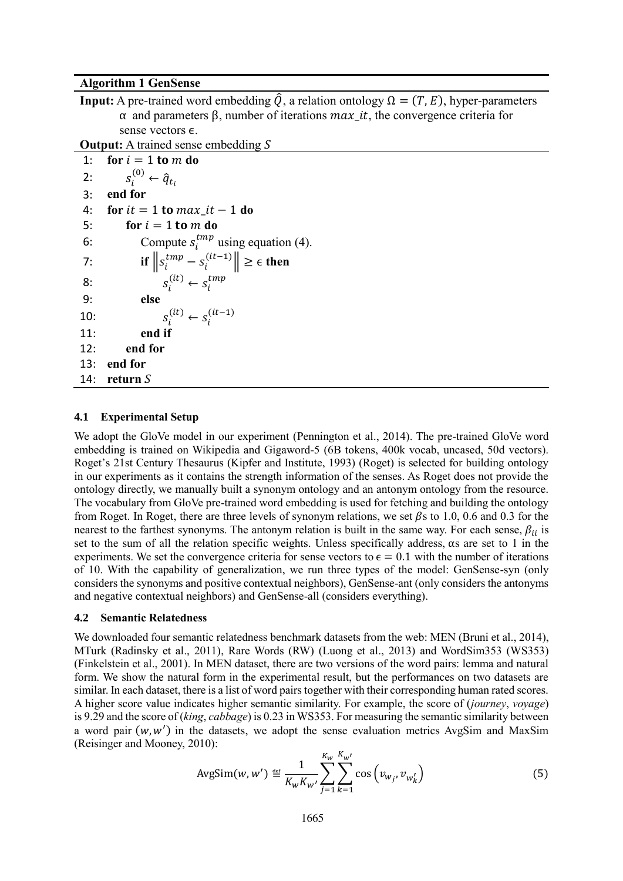### **Algorithm 1 GenSense**

**Input:** A pre-trained word embedding  $\hat{Q}$ , a relation ontology  $\Omega = (T, E)$ , hyper-parameters α and parameters β, number of iterations  $max_i$ , the convergence criteria for sense vectors  $\epsilon$ .

**Output:** A trained sense embedding S

```
1: for i = 1 to m do
2: s_i^{(0)} \leftarrow \hat{q}_{t_i}3: end for
4: for it = 1 to max\_it - 1 do
5: for i = 1 to m do
6: Compute s_i^{tmp} using equation (4).
7: if \left\|s_i^{tmp} - s_i^{(it-1)}\right\| \geq \epsilon then
8: s_i^{(it)} \leftarrow s_i^{tmp}9: else
10: s_i^{(it)} \leftarrow s_i^{(it-1)}11: end if
12: end for
13: end for
14: return
```
#### **4.1 Experimental Setup**

We adopt the GloVe model in our experiment (Pennington et al., 2014). The pre-trained GloVe word embedding is trained on Wikipedia and Gigaword-5 (6B tokens, 400k vocab, uncased, 50d vectors). Roget's 21st Century Thesaurus (Kipfer and Institute, 1993) (Roget) is selected for building ontology in our experiments as it contains the strength information of the senses. As Roget does not provide the ontology directly, we manually built a synonym ontology and an antonym ontology from the resource. The vocabulary from GloVe pre-trained word embedding is used for fetching and building the ontology from Roget. In Roget, there are three levels of synonym relations, we set  $\beta$ s to 1.0, 0.6 and 0.3 for the nearest to the farthest synonyms. The antonym relation is built in the same way. For each sense,  $\beta_{ii}$  is set to the sum of all the relation specific weights. Unless specifically address, αs are set to 1 in the experiments. We set the convergence criteria for sense vectors to  $\epsilon = 0.1$  with the number of iterations of 10. With the capability of generalization, we run three types of the model: GenSense-syn (only considers the synonyms and positive contextual neighbors), GenSense-ant (only considers the antonyms and negative contextual neighbors) and GenSense-all (considers everything).

#### **4.2 Semantic Relatedness**

We downloaded four semantic relatedness benchmark datasets from the web: MEN (Bruni et al., 2014), MTurk (Radinsky et al., 2011), Rare Words (RW) (Luong et al., 2013) and WordSim353 (WS353) (Finkelstein et al., 2001). In MEN dataset, there are two versions of the word pairs: lemma and natural form. We show the natural form in the experimental result, but the performances on two datasets are similar. In each dataset, there is a list of word pairs together with their corresponding human rated scores. A higher score value indicates higher semantic similarity. For example, the score of (*journey*, *voyage*) is 9.29 and the score of (*king*, *cabbage*) is 0.23 in WS353. For measuring the semantic similarity between a word pair  $(w, w')$  in the datasets, we adopt the sense evaluation metrics AvgSim and MaxSim (Reisinger and Mooney, 2010):

AvgSim(w, w') 
$$
\stackrel{\text{def}}{=} \frac{1}{K_w K_{w'}} \sum_{j=1}^{K_w} \sum_{k=1}^{K_{w'}} \cos(v_{w_j}, v_{w'_k})
$$
 (5)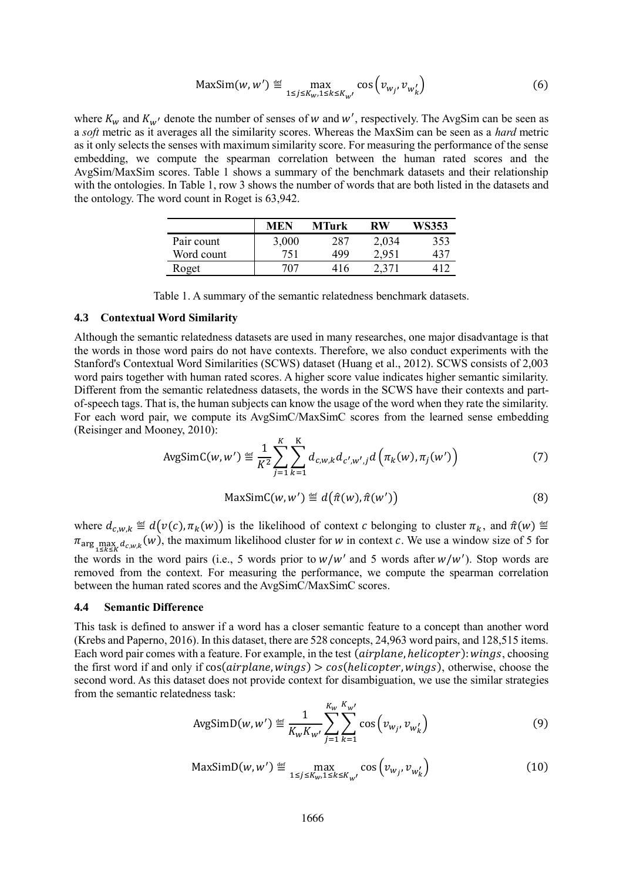$$
\text{MaxSim}(w, w') \stackrel{\text{def}}{=} \max_{1 \le j \le K_{w}, 1 \le k \le K_{w'}} \cos(v_{w_j}, v_{w'_k}) \tag{6}
$$

where  $K_w$  and  $K_{w'}$  denote the number of senses of w and w', respectively. The AvgSim can be seen as a *soft* metric as it averages all the similarity scores. Whereas the MaxSim can be seen as a *hard* metric as it only selects the senses with maximum similarity score. For measuring the performance of the sense embedding, we compute the spearman correlation between the human rated scores and the AvgSim/MaxSim scores. Table 1 shows a summary of the benchmark datasets and their relationship with the ontologies. In Table 1, row 3 shows the number of words that are both listed in the datasets and the ontology. The word count in Roget is 63,942.

|            | MEN   | MTurk | RW    | WS353 |
|------------|-------|-------|-------|-------|
| Pair count | 3,000 | 287   | 2,034 | 353   |
| Word count | 751   | 499   | 2,951 | 437   |
| Roget      | 707   | 416   | 2,371 |       |

## **4.3 Contextual Word Similarity**

Although the semantic relatedness datasets are used in many researches, one major disadvantage is that the words in those word pairs do not have contexts. Therefore, we also conduct experiments with the Stanford's Contextual Word Similarities (SCWS) dataset (Huang et al., 2012). SCWS consists of 2,003 word pairs together with human rated scores. A higher score value indicates higher semantic similarity. Different from the semantic relatedness datasets, the words in the SCWS have their contexts and partof-speech tags. That is, the human subjects can know the usage of the word when they rate the similarity. For each word pair, we compute its AvgSimC/MaxSimC scores from the learned sense embedding (Reisinger and Mooney, 2010):

AvgSimC(w, w') 
$$
\stackrel{\text{def}}{=} \frac{1}{K^2} \sum_{j=1}^{K} \sum_{k=1}^{K} d_{c,w,k} d_{c',w',j} d\left(\pi_k(w), \pi_j(w')\right)
$$
 (7)

$$
MaxSimC(w, w') \stackrel{\text{def}}{=} d(\hat{\pi}(w), \hat{\pi}(w')) \tag{8}
$$

where  $d_{c,w,k} \stackrel{\text{def}}{=} d(v(c), \pi_k(w))$  is the likelihood of context c belonging to cluster  $\pi_k$ , and  $\hat{\pi}(w) \stackrel{\text{def}}{=}$  $\pi_{\arg\max_{1\leq k\leq K}d_{c,w,k}}(w)$ , the maximum likelihood cluster for w in context c. We use a window size of 5 for the words in the word pairs (i.e., 5 words prior to  $w/w'$  and 5 words after  $w/w'$ ). Stop words are removed from the context. For measuring the performance, we compute the spearman correlation between the human rated scores and the AvgSimC/MaxSimC scores.

#### **4.4 Semantic Difference**

This task is defined to answer if a word has a closer semantic feature to a concept than another word (Krebs and Paperno, 2016). In this dataset, there are 528 concepts, 24,963 word pairs, and 128,515 items. Each word pair comes with a feature. For example, in the test (*airplane*, *helicopter*): wings, choosing the first word if and only if  $cos(airplane, wings) > cos(helicopter, wings)$ , otherwise, choose the second word. As this dataset does not provide context for disambiguation, we use the similar strategies from the semantic relatedness task:

AvgSimD(w, w') 
$$
\stackrel{\text{def}}{=} \frac{1}{K_w K_{w'}} \sum_{j=1}^{K_w} \sum_{k=1}^{K_{w'}} \cos(v_{w_j}, v_{w'_k})
$$
 (9)

$$
\text{MaxSimD}(w, w') \stackrel{\text{def}}{=} \max_{1 \le j \le K_{w'}1 \le k \le K_{w'}} \cos\left(v_{w_j}, v_{w'_k}\right) \tag{10}
$$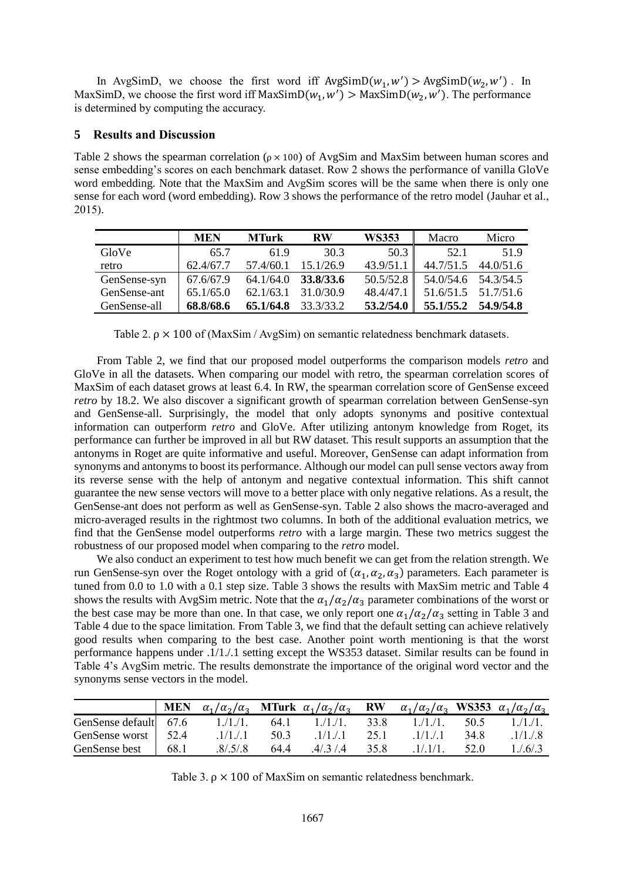In AvgSimD, we choose the first word iff  $AvgSimD(w_1, w') > AvgSimD(w_2, w')$ . In MaxSimD, we choose the first word iff  $MaxSimD(w_1, w') > MaxSimD(w_2, w')$ . The performance is determined by computing the accuracy.

### **5 Results and Discussion**

Table 2 shows the spearman correlation ( $\rho \times 100$ ) of AvgSim and MaxSim between human scores and sense embedding's scores on each benchmark dataset. Row 2 shows the performance of vanilla GloVe word embedding. Note that the MaxSim and AvgSim scores will be the same when there is only one sense for each word (word embedding). Row 3 shows the performance of the retro model (Jauhar et al., 2015).

|              | <b>MEN</b> | <b>MTurk</b> | <b>RW</b> | <b>WS353</b> | Macro     | Micro               |
|--------------|------------|--------------|-----------|--------------|-----------|---------------------|
| GloVe        | 65.7       | 619          | 30.3      | 50.3         | 52.1      | 51.9                |
| retro        | 62.4/67.7  | 57.4/60.1    | 15.1/26.9 | 43.9/51.1    | 44.7/51.5 | 44.0/51.6           |
| GenSense-syn | 67.6/67.9  | 64.1/64.0    | 33.8/33.6 | 50.5/52.8    |           | 54.0/54.6 54.3/54.5 |
| GenSense-ant | 65.1/65.0  | 62.1/63.1    | 31.0/30.9 | 48.4/47.1    |           | 51.6/51.5 51.7/51.6 |
| GenSense-all | 68.8/68.6  | 65.1/64.8    | 33.3/33.2 | 53.2/54.0    | 55.1/55.2 | 54.9/54.8           |

Table 2.  $\rho \times 100$  of (MaxSim / AvgSim) on semantic relatedness benchmark datasets.

From Table 2, we find that our proposed model outperforms the comparison models *retro* and GloVe in all the datasets. When comparing our model with retro, the spearman correlation scores of MaxSim of each dataset grows at least 6.4. In RW, the spearman correlation score of GenSense exceed *retro* by 18.2. We also discover a significant growth of spearman correlation between GenSense-syn and GenSense-all. Surprisingly, the model that only adopts synonyms and positive contextual information can outperform *retro* and GloVe. After utilizing antonym knowledge from Roget, its performance can further be improved in all but RW dataset. This result supports an assumption that the antonyms in Roget are quite informative and useful. Moreover, GenSense can adapt information from synonyms and antonyms to boost its performance. Although our model can pull sense vectors away from its reverse sense with the help of antonym and negative contextual information. This shift cannot guarantee the new sense vectors will move to a better place with only negative relations. As a result, the GenSense-ant does not perform as well as GenSense-syn. Table 2 also shows the macro-averaged and micro-averaged results in the rightmost two columns. In both of the additional evaluation metrics, we find that the GenSense model outperforms *retro* with a large margin. These two metrics suggest the robustness of our proposed model when comparing to the *retro* model.

We also conduct an experiment to test how much benefit we can get from the relation strength. We run GenSense-syn over the Roget ontology with a grid of  $(\alpha_1, \alpha_2, \alpha_3)$  parameters. Each parameter is tuned from 0.0 to 1.0 with a 0.1 step size. Table 3 shows the results with MaxSim metric and Table 4 shows the results with AvgSim metric. Note that the  $\alpha_1/\alpha_2/\alpha_3$  parameter combinations of the worst or the best case may be more than one. In that case, we only report one  $\alpha_1/\alpha_2/\alpha_3$  setting in Table 3 and Table 4 due to the space limitation. From Table 3, we find that the default setting can achieve relatively good results when comparing to the best case. Another point worth mentioning is that the worst performance happens under .1/1./.1 setting except the WS353 dataset. Similar results can be found in Table 4's AvgSim metric. The results demonstrate the importance of the original word vector and the synonyms sense vectors in the model.

|                                  | MEN  | $\alpha_1/\alpha_2/\alpha_3$ MTurk $\alpha_1/\alpha_2/\alpha_3$ RW $\alpha_1/\alpha_2/\alpha_3$ WS353 $\alpha_1/\alpha_2/\alpha_3$ |      |                      |      |          |      |             |
|----------------------------------|------|------------------------------------------------------------------------------------------------------------------------------------|------|----------------------|------|----------|------|-------------|
| GenSense default $67.6$ 1./1./1. |      |                                                                                                                                    |      | $64.1 \qquad 1/1/1.$ | 33.8 | 1.71.71. | 50.5 | 1./1./1.    |
| GenSense worst   52.4            |      | $1/1$ ./.1                                                                                                                         | 50.3 | $.1/1$               | 25.1 | $.1/1$   | 34.8 | $.1/1$ ./.8 |
| GenSense best                    | 68.1 | .8/.5/.8                                                                                                                           | 64.4 | .4/0.3/0.4           | 35.8 | .1/.1/1. | 52.0 | 1/(6/3)     |

Table 3.  $\rho \times 100$  of MaxSim on semantic relatedness benchmark.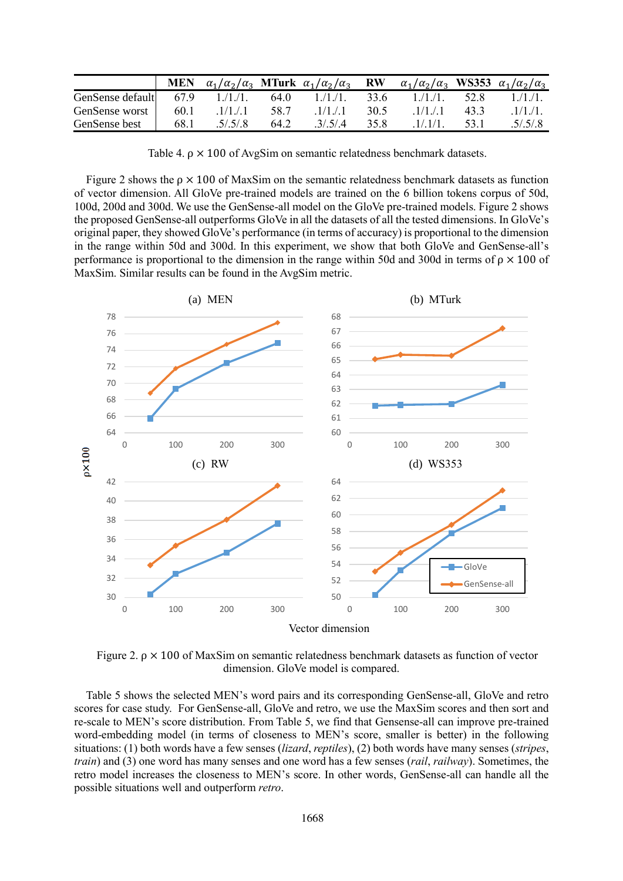|                  | <b>MEN</b> | $\alpha_1/\alpha_2/\alpha_3$ MTurk $\alpha_1/\alpha_2/\alpha_3$ RW |      |           |      | $\alpha_1/\alpha_2/\alpha_3$ WS353 $\alpha_1/\alpha_2/\alpha_3$ |      |          |
|------------------|------------|--------------------------------------------------------------------|------|-----------|------|-----------------------------------------------------------------|------|----------|
| GenSense default | 67.9       | $1/1/1$ .                                                          | 64.0 | 1.71.71.  | 33.6 | 1.71.71.                                                        | 52.8 | 1.71.71. |
| GenSense worst   | 60.1       | .1/1. / 1                                                          | 58.7 | .1/1. / 1 | 30.5 | 1/1.7.1                                                         | 43.3 | .1/1.71  |
| GenSense best    | 68.1       | .5/.5/.8                                                           | 64.2 | 3/5/4     | 35.8 | $1/1/1$ .                                                       | 53.1 | .5/.5/.8 |

Table 4.  $\rho \times 100$  of AvgSim on semantic relatedness benchmark datasets.

Figure 2 shows the  $\rho \times 100$  of MaxSim on the semantic relatedness benchmark datasets as function of vector dimension. All GloVe pre-trained models are trained on the 6 billion tokens corpus of 50d, 100d, 200d and 300d. We use the GenSense-all model on the GloVe pre-trained models. Figure 2 shows the proposed GenSense-all outperforms GloVe in all the datasets of all the tested dimensions. In GloVe's original paper, they showed GloVe's performance (in terms of accuracy) is proportional to the dimension in the range within 50d and 300d. In this experiment, we show that both GloVe and GenSense-all's performance is proportional to the dimension in the range within 50d and 300d in terms of  $\rho \times 100$  of MaxSim. Similar results can be found in the AvgSim metric.



Figure 2. ρ × 100 of MaxSim on semantic relatedness benchmark datasets as function of vector dimension. GloVe model is compared.

Table 5 shows the selected MEN's word pairs and its corresponding GenSense-all, GloVe and retro scores for case study. For GenSense-all, GloVe and retro, we use the MaxSim scores and then sort and re-scale to MEN's score distribution. From Table 5, we find that Gensense-all can improve pre-trained word-embedding model (in terms of closeness to MEN's score, smaller is better) in the following situations: (1) both words have a few senses (*lizard*, *reptiles*), (2) both words have many senses (*stripes*, *train*) and (3) one word has many senses and one word has a few senses (*rail*, *railway*). Sometimes, the retro model increases the closeness to MEN's score. In other words, GenSense-all can handle all the possible situations well and outperform *retro*.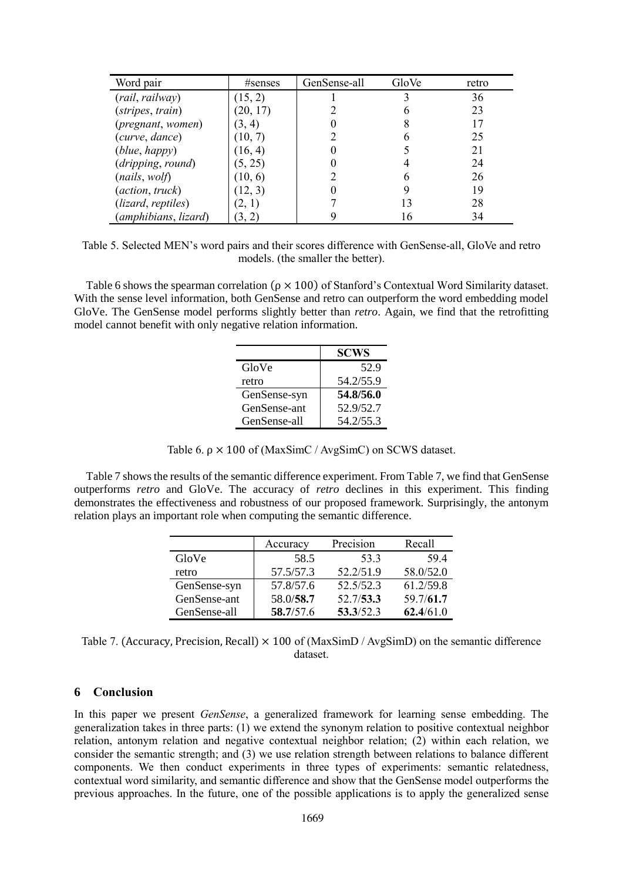| Word pair            | #senses  | GenSense-all | GloVe | retro |
|----------------------|----------|--------------|-------|-------|
| (rail, railway)      | (15, 2)  |              |       | 36    |
| (stripes, train)     | (20, 17) |              |       | 23    |
| (pregnant, women)    | (3, 4)   |              |       | 17    |
| (curve, dance)       | (10, 7)  |              |       | 25    |
| (blue, happy)        | (16, 4)  |              |       | 21    |
| (dripping, round)    | (5, 25)  |              |       | 24    |
| (nails, wol)         | (10, 6)  |              |       | 26    |
| (action, truck)      | (12, 3)  |              |       | 19    |
| (lizard, reptiles)   | (2, 1)   |              |       | 28    |
| (amphibians, lizard) | (3, 2)   |              | 16    | 34    |

Table 5. Selected MEN's word pairs and their scores difference with GenSense-all, GloVe and retro models. (the smaller the better).

Table 6 shows the spearman correlation ( $\rho \times 100$ ) of Stanford's Contextual Word Similarity dataset. With the sense level information, both GenSense and retro can outperform the word embedding model GloVe. The GenSense model performs slightly better than *retro*. Again, we find that the retrofitting model cannot benefit with only negative relation information.

|              | <b>SCWS</b> |
|--------------|-------------|
| GloVe        | 52.9        |
| retro        | 54.2/55.9   |
| GenSense-syn | 54.8/56.0   |
| GenSense-ant | 52.9/52.7   |
| GenSense-all | 54.2/55.3   |

| Table 6. $\rho \times 100$ of (MaxSimC / AvgSimC) on SCWS dataset. |  |  |  |  |
|--------------------------------------------------------------------|--|--|--|--|
|--------------------------------------------------------------------|--|--|--|--|

Table 7 shows the results of the semantic difference experiment. From Table 7, we find that GenSense outperforms *retro* and GloVe. The accuracy of *retro* declines in this experiment. This finding demonstrates the effectiveness and robustness of our proposed framework. Surprisingly, the antonym relation plays an important role when computing the semantic difference.

|              | Accuracy  | Precision | Recall    |
|--------------|-----------|-----------|-----------|
| GloVe        | 58.5      | 53.3      | 59.4      |
| retro        | 57.5/57.3 | 52.2/51.9 | 58.0/52.0 |
| GenSense-syn | 57.8/57.6 | 52.5/52.3 | 61.2/59.8 |
| GenSense-ant | 58.0/58.7 | 52.7/53.3 | 59.7/61.7 |
| GenSense-all | 58.7/57.6 | 53.3/52.3 | 62.4/61.0 |

Table 7. (Accuracy, Precision, Recall)  $\times$  100 of (MaxSimD / AvgSimD) on the semantic difference dataset.

## **6 Conclusion**

In this paper we present *GenSense*, a generalized framework for learning sense embedding. The generalization takes in three parts: (1) we extend the synonym relation to positive contextual neighbor relation, antonym relation and negative contextual neighbor relation; (2) within each relation, we consider the semantic strength; and (3) we use relation strength between relations to balance different components. We then conduct experiments in three types of experiments: semantic relatedness, contextual word similarity, and semantic difference and show that the GenSense model outperforms the previous approaches. In the future, one of the possible applications is to apply the generalized sense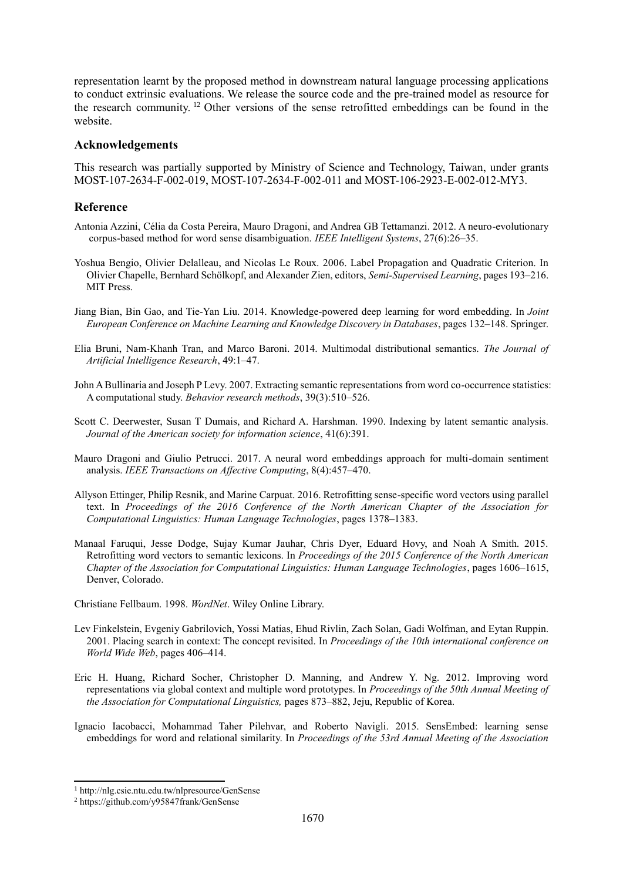representation learnt by the proposed method in downstream natural language processing applications to conduct extrinsic evaluations. We release the source code and the pre-trained model as resource for the research community. <sup>12</sup> Other versions of the sense retrofitted embeddings can be found in the website.

## **Acknowledgements**

This research was partially supported by Ministry of Science and Technology, Taiwan, under grants MOST-107-2634-F-002-019, MOST-107-2634-F-002-011 and MOST-106-2923-E-002-012-MY3.

## **Reference**

- Antonia Azzini, Célia da Costa Pereira, Mauro Dragoni, and Andrea GB Tettamanzi. 2012. A neuro-evolutionary corpus-based method for word sense disambiguation. *IEEE Intelligent Systems*, 27(6):26–35.
- Yoshua Bengio, Olivier Delalleau, and Nicolas Le Roux. 2006. Label Propagation and Quadratic Criterion. In Olivier Chapelle, Bernhard Schölkopf, and Alexander Zien, editors, *Semi-Supervised Learning*, pages 193–216. MIT Press.
- Jiang Bian, Bin Gao, and Tie-Yan Liu. 2014. Knowledge-powered deep learning for word embedding. In *Joint European Conference on Machine Learning and Knowledge Discovery in Databases*, pages 132–148. Springer.
- Elia Bruni, Nam-Khanh Tran, and Marco Baroni. 2014. Multimodal distributional semantics. *The Journal of Artificial Intelligence Research*, 49:1–47.
- John A Bullinaria and Joseph P Levy. 2007. Extracting semantic representations from word co-occurrence statistics: A computational study. *Behavior research methods*, 39(3):510–526.
- Scott C. Deerwester, Susan T Dumais, and Richard A. Harshman. 1990. Indexing by latent semantic analysis. *Journal of the American society for information science*, 41(6):391.
- Mauro Dragoni and Giulio Petrucci. 2017. A neural word embeddings approach for multi-domain sentiment analysis. *IEEE Transactions on Affective Computing*, 8(4):457–470.
- Allyson Ettinger, Philip Resnik, and Marine Carpuat. 2016. Retrofitting sense-specific word vectors using parallel text. In *Proceedings of the 2016 Conference of the North American Chapter of the Association for Computational Linguistics: Human Language Technologies*, pages 1378–1383.
- Manaal Faruqui, Jesse Dodge, Sujay Kumar Jauhar, Chris Dyer, Eduard Hovy, and Noah A Smith. 2015. Retrofitting word vectors to semantic lexicons. In *Proceedings of the 2015 Conference of the North American Chapter of the Association for Computational Linguistics: Human Language Technologies*, pages 1606–1615, Denver, Colorado.

Christiane Fellbaum. 1998. *WordNet*. Wiley Online Library.

- Lev Finkelstein, Evgeniy Gabrilovich, Yossi Matias, Ehud Rivlin, Zach Solan, Gadi Wolfman, and Eytan Ruppin. 2001. Placing search in context: The concept revisited. In *Proceedings of the 10th international conference on World Wide Web*, pages 406–414.
- Eric H. Huang, Richard Socher, Christopher D. Manning, and Andrew Y. Ng. 2012. Improving word representations via global context and multiple word prototypes. In *Proceedings of the 50th Annual Meeting of the Association for Computational Linguistics,* pages 873–882, Jeju, Republic of Korea.
- Ignacio Iacobacci, Mohammad Taher Pilehvar, and Roberto Navigli. 2015. SensEmbed: learning sense embeddings for word and relational similarity. In *Proceedings of the 53rd Annual Meeting of the Association*

 <sup>1</sup> http://nlg.csie.ntu.edu.tw/nlpresource/GenSense

<sup>2</sup> https://github.com/y95847frank/GenSense